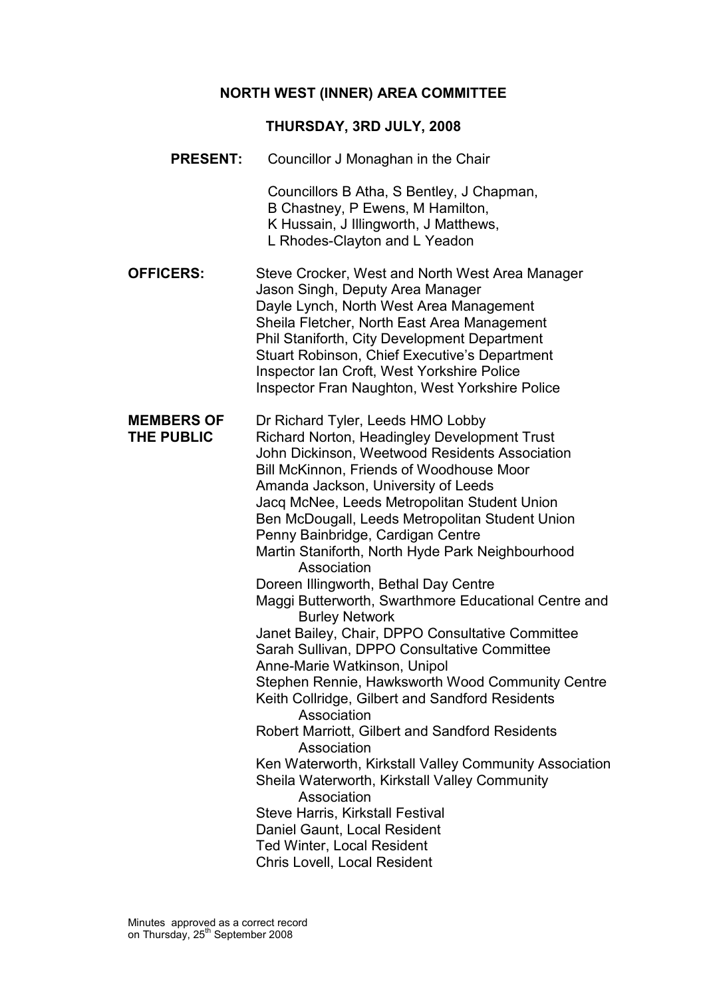#### NORTH WEST (INNER) AREA COMMITTEE

#### THURSDAY, 3RD JULY, 2008

PRESENT: Councillor J Monaghan in the Chair

 Councillors B Atha, S Bentley, J Chapman, B Chastney, P Ewens, M Hamilton, K Hussain, J Illingworth, J Matthews, L Rhodes-Clayton and L Yeadon

OFFICERS: Steve Crocker, West and North West Area Manager Jason Singh, Deputy Area Manager Dayle Lynch, North West Area Management Sheila Fletcher, North East Area Management Phil Staniforth, City Development Department Stuart Robinson, Chief Executive's Department Inspector Ian Croft, West Yorkshire Police Inspector Fran Naughton, West Yorkshire Police

MEMBERS OF Dr Richard Tyler, Leeds HMO Lobby THE PUBLIC Richard Norton, Headingley Development Trust John Dickinson, Weetwood Residents Association Bill McKinnon, Friends of Woodhouse Moor Amanda Jackson, University of Leeds Jacq McNee, Leeds Metropolitan Student Union Ben McDougall, Leeds Metropolitan Student Union Penny Bainbridge, Cardigan Centre Martin Staniforth, North Hyde Park Neighbourhood Association Doreen Illingworth, Bethal Day Centre Maggi Butterworth, Swarthmore Educational Centre and Burley Network Janet Bailey, Chair, DPPO Consultative Committee Sarah Sullivan, DPPO Consultative Committee Anne-Marie Watkinson, Unipol Stephen Rennie, Hawksworth Wood Community Centre Keith Collridge, Gilbert and Sandford Residents Association Robert Marriott, Gilbert and Sandford Residents Association Ken Waterworth, Kirkstall Valley Community Association Sheila Waterworth, Kirkstall Valley Community Association Steve Harris, Kirkstall Festival Daniel Gaunt, Local Resident Ted Winter, Local Resident Chris Lovell, Local Resident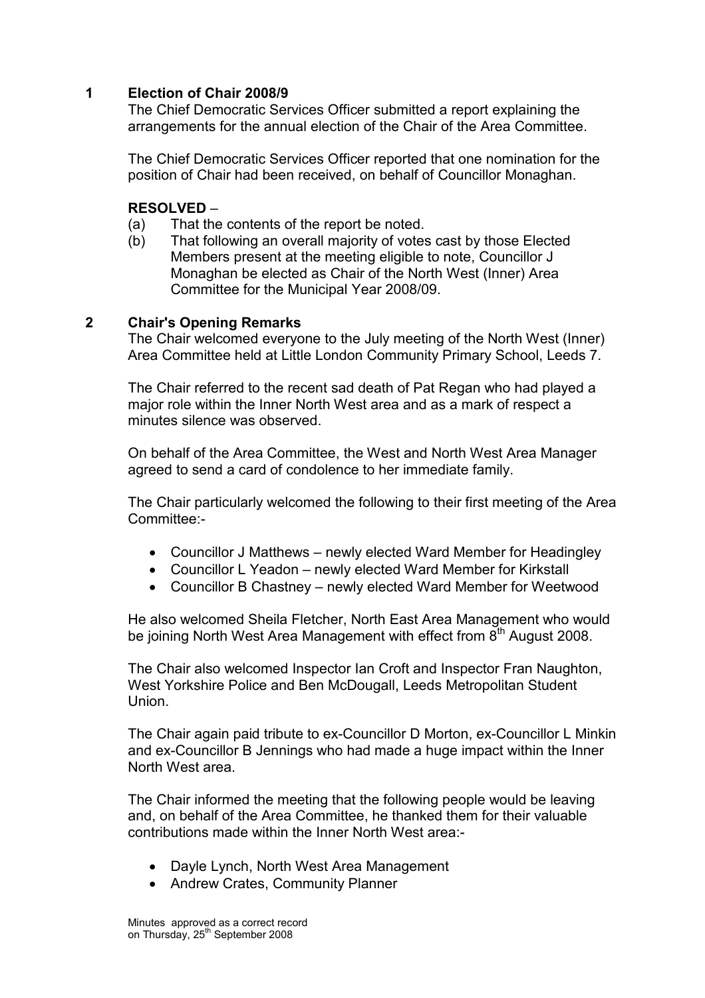### 1 Election of Chair 2008/9

The Chief Democratic Services Officer submitted a report explaining the arrangements for the annual election of the Chair of the Area Committee.

The Chief Democratic Services Officer reported that one nomination for the position of Chair had been received, on behalf of Councillor Monaghan.

#### RESOLVED –

- (a) That the contents of the report be noted.
- (b) That following an overall majority of votes cast by those Elected Members present at the meeting eligible to note, Councillor J Monaghan be elected as Chair of the North West (Inner) Area Committee for the Municipal Year 2008/09.

#### 2 Chair's Opening Remarks

The Chair welcomed everyone to the July meeting of the North West (Inner) Area Committee held at Little London Community Primary School, Leeds 7.

The Chair referred to the recent sad death of Pat Regan who had played a major role within the Inner North West area and as a mark of respect a minutes silence was observed.

On behalf of the Area Committee, the West and North West Area Manager agreed to send a card of condolence to her immediate family.

The Chair particularly welcomed the following to their first meeting of the Area Committee:-

- Councillor J Matthews newly elected Ward Member for Headingley
- Councillor L Yeadon newly elected Ward Member for Kirkstall
- Councillor B Chastney newly elected Ward Member for Weetwood

He also welcomed Sheila Fletcher, North East Area Management who would be joining North West Area Management with effect from  $\overline{8}^{th}$  August 2008.

The Chair also welcomed Inspector Ian Croft and Inspector Fran Naughton, West Yorkshire Police and Ben McDougall, Leeds Metropolitan Student **Union** 

The Chair again paid tribute to ex-Councillor D Morton, ex-Councillor L Minkin and ex-Councillor B Jennings who had made a huge impact within the Inner North West area.

The Chair informed the meeting that the following people would be leaving and, on behalf of the Area Committee, he thanked them for their valuable contributions made within the Inner North West area:-

- Dayle Lynch, North West Area Management
- Andrew Crates, Community Planner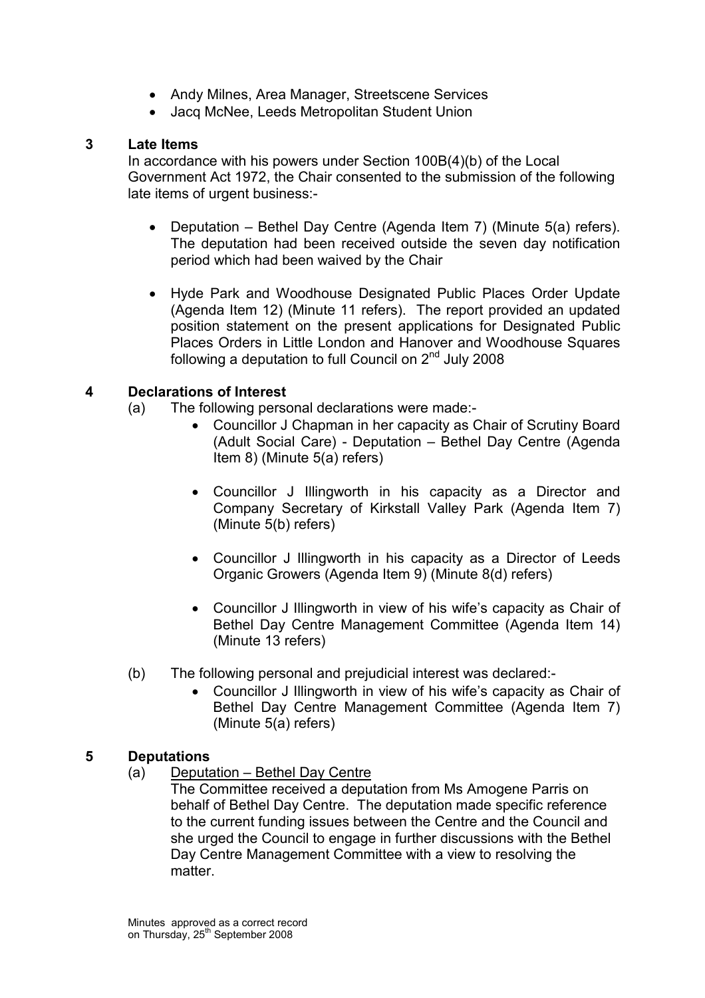- Andy Milnes, Area Manager, Streetscene Services
- Jacq McNee, Leeds Metropolitan Student Union

#### 3 Late Items

In accordance with his powers under Section 100B(4)(b) of the Local Government Act 1972, the Chair consented to the submission of the following late items of urgent business:-

- Deputation Bethel Day Centre (Agenda Item 7) (Minute 5(a) refers). The deputation had been received outside the seven day notification period which had been waived by the Chair
- Hyde Park and Woodhouse Designated Public Places Order Update (Agenda Item 12) (Minute 11 refers). The report provided an updated position statement on the present applications for Designated Public Places Orders in Little London and Hanover and Woodhouse Squares following a deputation to full Council on  $2<sup>nd</sup>$  July 2008

#### 4 Declarations of Interest

- (a) The following personal declarations were made:-
	- Councillor J Chapman in her capacity as Chair of Scrutiny Board (Adult Social Care) - Deputation – Bethel Day Centre (Agenda Item 8) (Minute 5(a) refers)
	- Councillor J Illingworth in his capacity as a Director and Company Secretary of Kirkstall Valley Park (Agenda Item 7) (Minute 5(b) refers)
	- Councillor J Illingworth in his capacity as a Director of Leeds Organic Growers (Agenda Item 9) (Minute 8(d) refers)
	- Councillor J Illingworth in view of his wife's capacity as Chair of Bethel Day Centre Management Committee (Agenda Item 14) (Minute 13 refers)
- (b) The following personal and prejudicial interest was declared:-
	- Councillor J Illingworth in view of his wife's capacity as Chair of Bethel Day Centre Management Committee (Agenda Item 7) (Minute 5(a) refers)

#### 5 Deputations

- (a) Deputation Bethel Day Centre
	- The Committee received a deputation from Ms Amogene Parris on behalf of Bethel Day Centre. The deputation made specific reference to the current funding issues between the Centre and the Council and she urged the Council to engage in further discussions with the Bethel Day Centre Management Committee with a view to resolving the matter.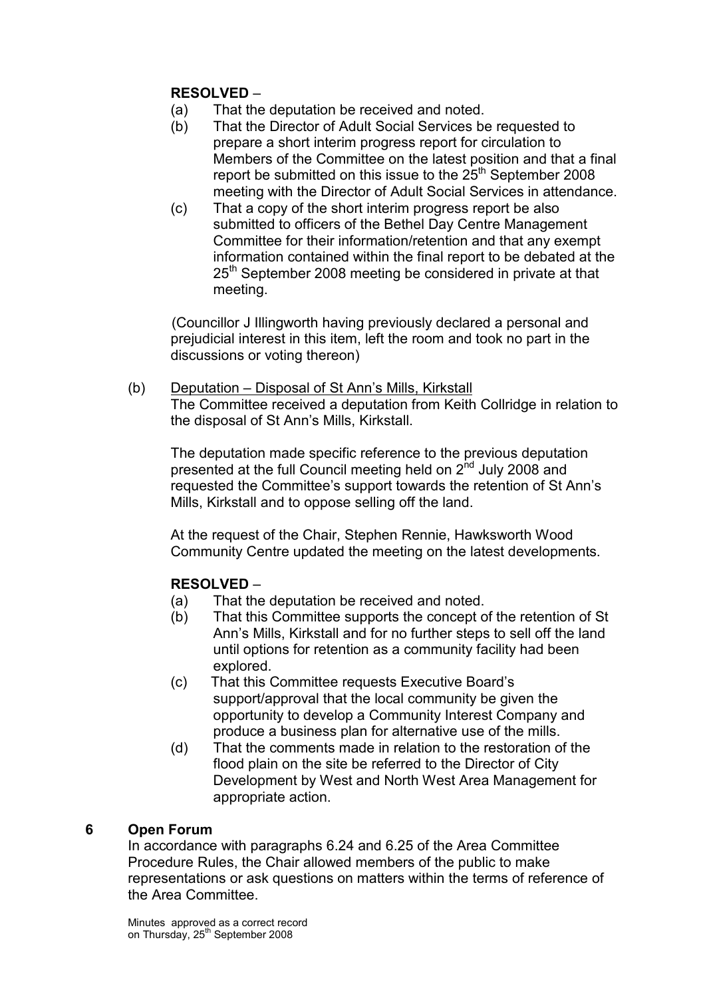## RESOLVED –

- (a) That the deputation be received and noted.
- (b) That the Director of Adult Social Services be requested to prepare a short interim progress report for circulation to Members of the Committee on the latest position and that a final report be submitted on this issue to the 25<sup>th</sup> September 2008 meeting with the Director of Adult Social Services in attendance.
- (c) That a copy of the short interim progress report be also submitted to officers of the Bethel Day Centre Management Committee for their information/retention and that any exempt information contained within the final report to be debated at the 25<sup>th</sup> September 2008 meeting be considered in private at that meeting.

 (Councillor J Illingworth having previously declared a personal and prejudicial interest in this item, left the room and took no part in the discussions or voting thereon)

(b) Deputation – Disposal of St Ann's Mills, Kirkstall The Committee received a deputation from Keith Collridge in relation to the disposal of St Ann's Mills, Kirkstall.

 The deputation made specific reference to the previous deputation presented at the full Council meeting held on 2<sup>nd</sup> July 2008 and requested the Committee's support towards the retention of St Ann's Mills, Kirkstall and to oppose selling off the land.

 At the request of the Chair, Stephen Rennie, Hawksworth Wood Community Centre updated the meeting on the latest developments.

# RESOLVED –

- (a) That the deputation be received and noted.
- (b) That this Committee supports the concept of the retention of St Ann's Mills, Kirkstall and for no further steps to sell off the land until options for retention as a community facility had been explored.
- (c) That this Committee requests Executive Board's support/approval that the local community be given the opportunity to develop a Community Interest Company and produce a business plan for alternative use of the mills.
- (d) That the comments made in relation to the restoration of the flood plain on the site be referred to the Director of City Development by West and North West Area Management for appropriate action.

### 6 Open Forum

In accordance with paragraphs 6.24 and 6.25 of the Area Committee Procedure Rules, the Chair allowed members of the public to make representations or ask questions on matters within the terms of reference of the Area Committee.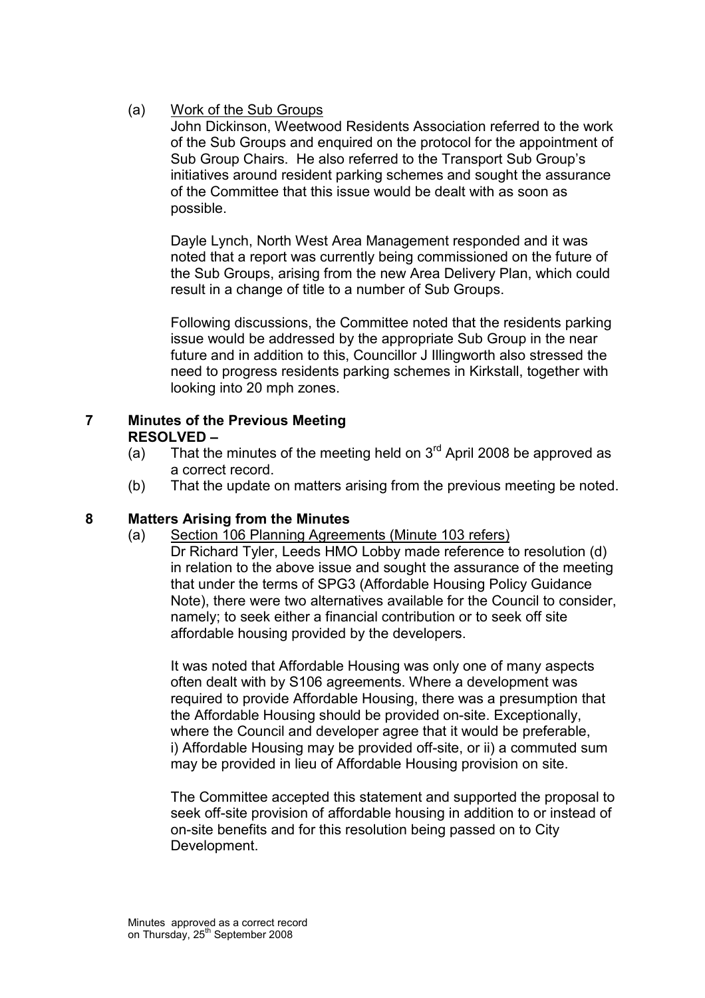### (a) Work of the Sub Groups

 John Dickinson, Weetwood Residents Association referred to the work of the Sub Groups and enquired on the protocol for the appointment of Sub Group Chairs. He also referred to the Transport Sub Group's initiatives around resident parking schemes and sought the assurance of the Committee that this issue would be dealt with as soon as possible.

 Dayle Lynch, North West Area Management responded and it was noted that a report was currently being commissioned on the future of the Sub Groups, arising from the new Area Delivery Plan, which could result in a change of title to a number of Sub Groups.

 Following discussions, the Committee noted that the residents parking issue would be addressed by the appropriate Sub Group in the near future and in addition to this, Councillor J Illingworth also stressed the need to progress residents parking schemes in Kirkstall, together with looking into 20 mph zones.

#### 7 Minutes of the Previous Meeting RESOLVED –

- (a) That the minutes of the meeting held on  $3<sup>rd</sup>$  April 2008 be approved as a correct record.
- (b) That the update on matters arising from the previous meeting be noted.

#### 8 Matters Arising from the Minutes

(a) Section 106 Planning Agreements (Minute 103 refers)

 Dr Richard Tyler, Leeds HMO Lobby made reference to resolution (d) in relation to the above issue and sought the assurance of the meeting that under the terms of SPG3 (Affordable Housing Policy Guidance Note), there were two alternatives available for the Council to consider, namely; to seek either a financial contribution or to seek off site affordable housing provided by the developers.

 It was noted that Affordable Housing was only one of many aspects often dealt with by S106 agreements. Where a development was required to provide Affordable Housing, there was a presumption that the Affordable Housing should be provided on-site. Exceptionally, where the Council and developer agree that it would be preferable, i) Affordable Housing may be provided off-site, or ii) a commuted sum may be provided in lieu of Affordable Housing provision on site.

 The Committee accepted this statement and supported the proposal to seek off-site provision of affordable housing in addition to or instead of on-site benefits and for this resolution being passed on to City Development.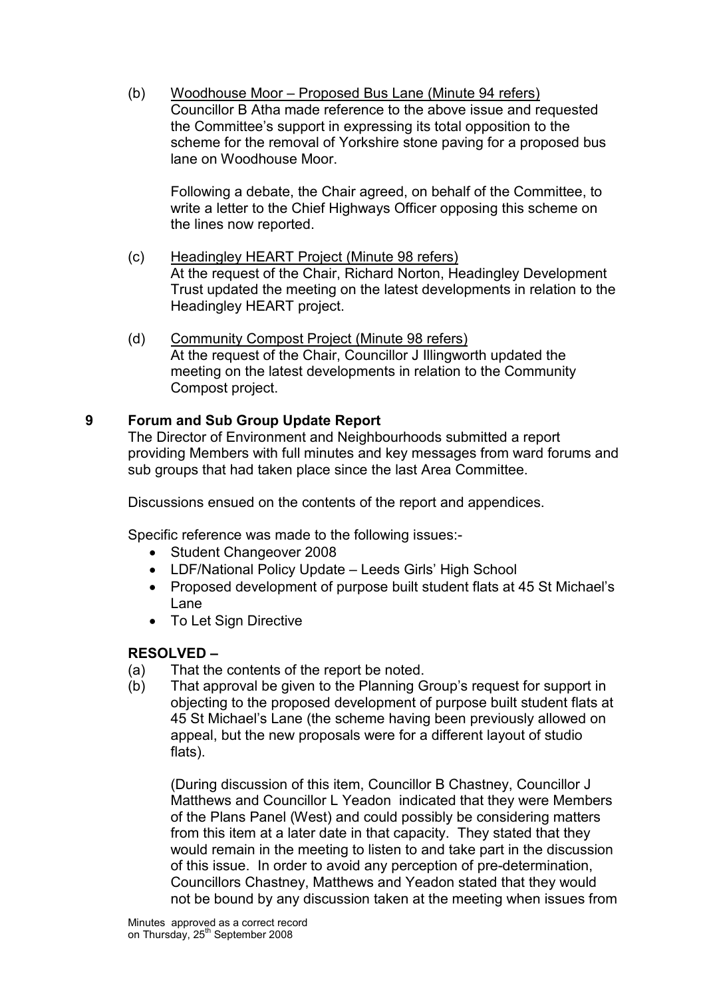(b) Woodhouse Moor – Proposed Bus Lane (Minute 94 refers) Councillor B Atha made reference to the above issue and requested the Committee's support in expressing its total opposition to the scheme for the removal of Yorkshire stone paving for a proposed bus lane on Woodhouse Moor.

 Following a debate, the Chair agreed, on behalf of the Committee, to write a letter to the Chief Highways Officer opposing this scheme on the lines now reported.

- (c) Headingley HEART Project (Minute 98 refers) At the request of the Chair, Richard Norton, Headingley Development Trust updated the meeting on the latest developments in relation to the Headingley HEART project.
- (d) Community Compost Project (Minute 98 refers) At the request of the Chair, Councillor J Illingworth updated the meeting on the latest developments in relation to the Community Compost project.

### 9 Forum and Sub Group Update Report

The Director of Environment and Neighbourhoods submitted a report providing Members with full minutes and key messages from ward forums and sub groups that had taken place since the last Area Committee.

Discussions ensued on the contents of the report and appendices.

Specific reference was made to the following issues:-

- Student Changeover 2008
- LDF/National Policy Update Leeds Girls' High School
- Proposed development of purpose built student flats at 45 St Michael's Lane
- To Let Sign Directive

# RESOLVED –

- (a) That the contents of the report be noted.
- (b) That approval be given to the Planning Group's request for support in objecting to the proposed development of purpose built student flats at 45 St Michael's Lane (the scheme having been previously allowed on appeal, but the new proposals were for a different layout of studio flats).

 (During discussion of this item, Councillor B Chastney, Councillor J Matthews and Councillor L Yeadon indicated that they were Members of the Plans Panel (West) and could possibly be considering matters from this item at a later date in that capacity. They stated that they would remain in the meeting to listen to and take part in the discussion of this issue. In order to avoid any perception of pre-determination, Councillors Chastney, Matthews and Yeadon stated that they would not be bound by any discussion taken at the meeting when issues from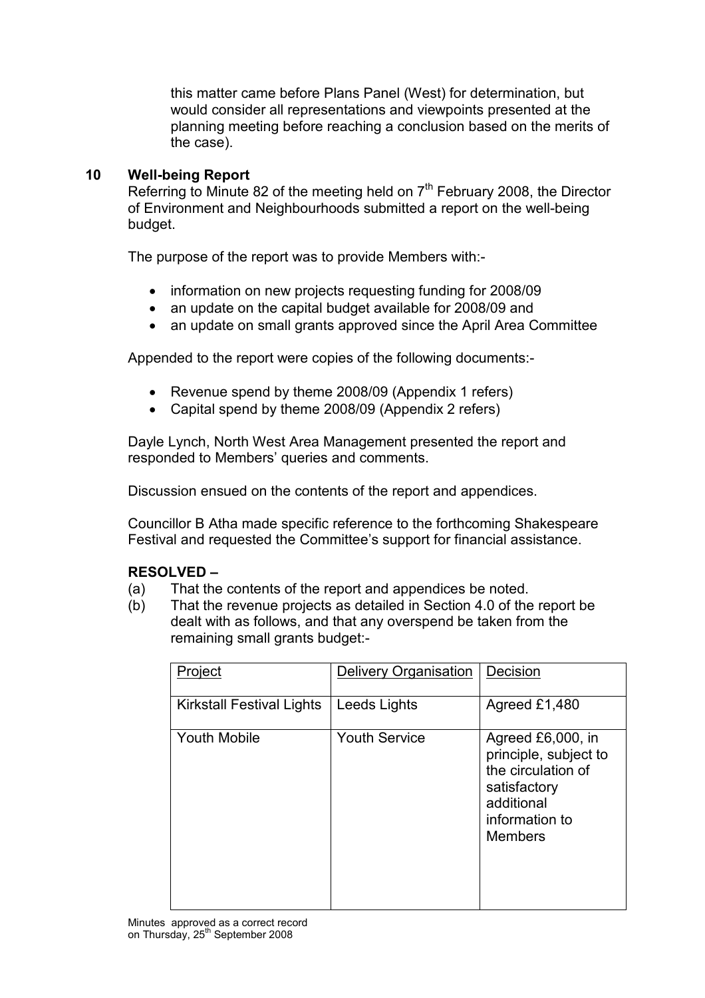this matter came before Plans Panel (West) for determination, but would consider all representations and viewpoints presented at the planning meeting before reaching a conclusion based on the merits of the case).

#### 10 Well-being Report

Referring to Minute 82 of the meeting held on  $7<sup>th</sup>$  February 2008, the Director of Environment and Neighbourhoods submitted a report on the well-being budget.

The purpose of the report was to provide Members with:-

- information on new projects requesting funding for 2008/09
- an update on the capital budget available for 2008/09 and
- an update on small grants approved since the April Area Committee

Appended to the report were copies of the following documents:-

- Revenue spend by theme 2008/09 (Appendix 1 refers)
- Capital spend by theme 2008/09 (Appendix 2 refers)

Dayle Lynch, North West Area Management presented the report and responded to Members' queries and comments.

Discussion ensued on the contents of the report and appendices.

Councillor B Atha made specific reference to the forthcoming Shakespeare Festival and requested the Committee's support for financial assistance.

### RESOLVED –

- (a) That the contents of the report and appendices be noted.
- (b) That the revenue projects as detailed in Section 4.0 of the report be dealt with as follows, and that any overspend be taken from the remaining small grants budget:-

| Project                   | Delivery Organisation | Decision                                                                                                                           |
|---------------------------|-----------------------|------------------------------------------------------------------------------------------------------------------------------------|
| Kirkstall Festival Lights | Leeds Lights          | Agreed £1,480                                                                                                                      |
| <b>Youth Mobile</b>       | <b>Youth Service</b>  | Agreed £6,000, in<br>principle, subject to<br>the circulation of<br>satisfactory<br>additional<br>information to<br><b>Members</b> |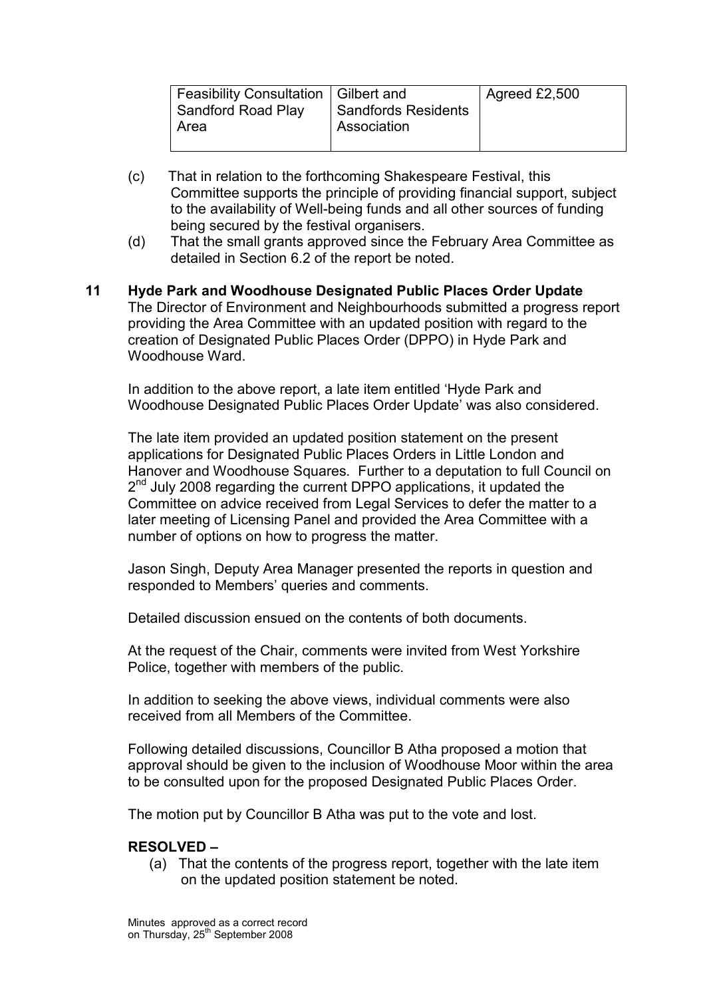| Feasibility Consultation   Gilbert and<br>Sandford Road Play<br>Area | Sandfords Residents<br><b>Association</b> | Agreed £2,500 |
|----------------------------------------------------------------------|-------------------------------------------|---------------|
|                                                                      |                                           |               |

- (c) That in relation to the forthcoming Shakespeare Festival, this Committee supports the principle of providing financial support, subject to the availability of Well-being funds and all other sources of funding being secured by the festival organisers.
- (d) That the small grants approved since the February Area Committee as detailed in Section 6.2 of the report be noted.
- 11 Hyde Park and Woodhouse Designated Public Places Order Update The Director of Environment and Neighbourhoods submitted a progress report providing the Area Committee with an updated position with regard to the creation of Designated Public Places Order (DPPO) in Hyde Park and Woodhouse Ward.

In addition to the above report, a late item entitled 'Hyde Park and Woodhouse Designated Public Places Order Update' was also considered.

The late item provided an updated position statement on the present applications for Designated Public Places Orders in Little London and Hanover and Woodhouse Squares. Further to a deputation to full Council on 2<sup>nd</sup> July 2008 regarding the current DPPO applications, it updated the Committee on advice received from Legal Services to defer the matter to a later meeting of Licensing Panel and provided the Area Committee with a number of options on how to progress the matter.

Jason Singh, Deputy Area Manager presented the reports in question and responded to Members' queries and comments.

Detailed discussion ensued on the contents of both documents.

At the request of the Chair, comments were invited from West Yorkshire Police, together with members of the public.

In addition to seeking the above views, individual comments were also received from all Members of the Committee.

Following detailed discussions, Councillor B Atha proposed a motion that approval should be given to the inclusion of Woodhouse Moor within the area to be consulted upon for the proposed Designated Public Places Order.

The motion put by Councillor B Atha was put to the vote and lost.

#### RESOLVED –

(a) That the contents of the progress report, together with the late item on the updated position statement be noted.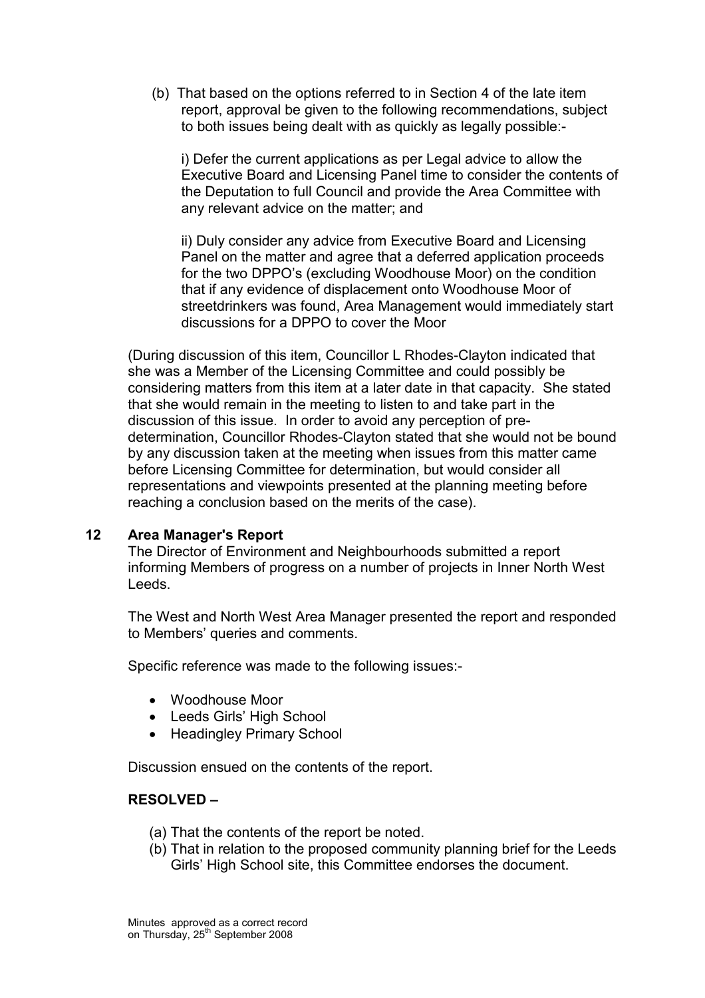(b) That based on the options referred to in Section 4 of the late item report, approval be given to the following recommendations, subject to both issues being dealt with as quickly as legally possible:-

i) Defer the current applications as per Legal advice to allow the Executive Board and Licensing Panel time to consider the contents of the Deputation to full Council and provide the Area Committee with any relevant advice on the matter; and

 ii) Duly consider any advice from Executive Board and Licensing Panel on the matter and agree that a deferred application proceeds for the two DPPO's (excluding Woodhouse Moor) on the condition that if any evidence of displacement onto Woodhouse Moor of streetdrinkers was found, Area Management would immediately start discussions for a DPPO to cover the Moor

(During discussion of this item, Councillor L Rhodes-Clayton indicated that she was a Member of the Licensing Committee and could possibly be considering matters from this item at a later date in that capacity. She stated that she would remain in the meeting to listen to and take part in the discussion of this issue. In order to avoid any perception of predetermination, Councillor Rhodes-Clayton stated that she would not be bound by any discussion taken at the meeting when issues from this matter came before Licensing Committee for determination, but would consider all representations and viewpoints presented at the planning meeting before reaching a conclusion based on the merits of the case).

#### 12 Area Manager's Report

The Director of Environment and Neighbourhoods submitted a report informing Members of progress on a number of projects in Inner North West Leeds.

The West and North West Area Manager presented the report and responded to Members' queries and comments.

Specific reference was made to the following issues:-

- Woodhouse Moor
- Leeds Girls' High School
- Headingley Primary School

Discussion ensued on the contents of the report.

#### RESOLVED –

- (a) That the contents of the report be noted.
- (b) That in relation to the proposed community planning brief for the Leeds Girls' High School site, this Committee endorses the document.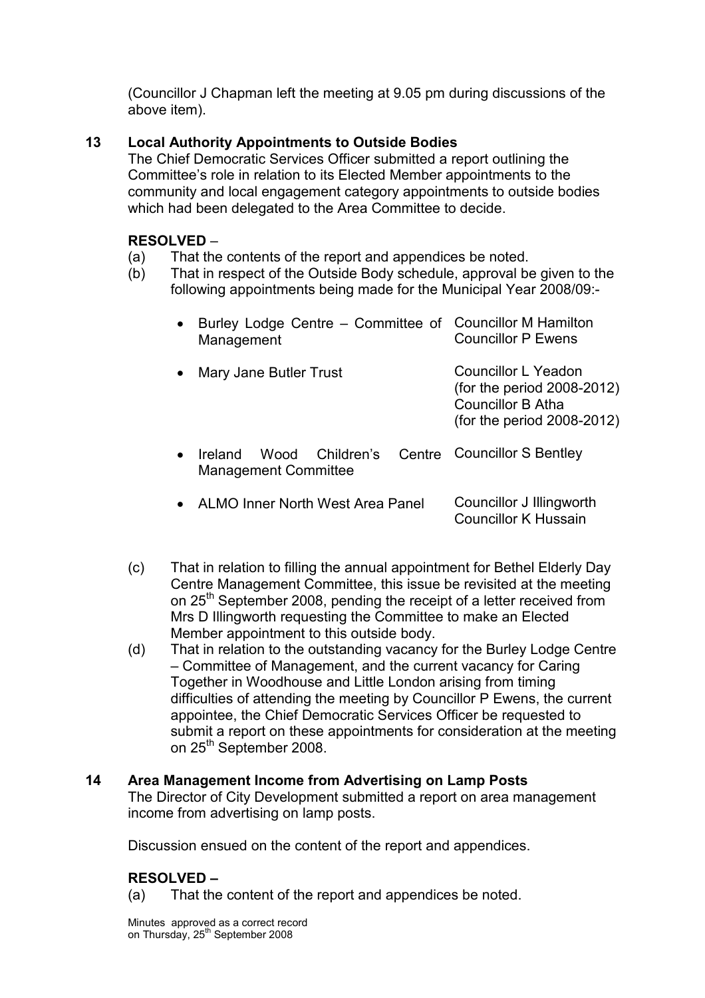(Councillor J Chapman left the meeting at 9.05 pm during discussions of the above item).

## 13 Local Authority Appointments to Outside Bodies

The Chief Democratic Services Officer submitted a report outlining the Committee's role in relation to its Elected Member appointments to the community and local engagement category appointments to outside bodies which had been delegated to the Area Committee to decide.

### RESOLVED –

- (a) That the contents of the report and appendices be noted.
- (b) That in respect of the Outside Body schedule, approval be given to the following appointments being made for the Municipal Year 2008/09:-

| Burley Lodge Centre – Committee of Councillor M Hamilton<br>Management                       | <b>Councillor P Ewens</b>                                                                                         |
|----------------------------------------------------------------------------------------------|-------------------------------------------------------------------------------------------------------------------|
| Mary Jane Butler Trust                                                                       | Councillor L Yeadon<br>(for the period $2008-2012$ )<br><b>Councillor B Atha</b><br>(for the period $2008-2012$ ) |
| Wood Children's Centre Councillor S Bentley<br><b>Ireland</b><br><b>Management Committee</b> |                                                                                                                   |
| ALMO Inner North West Area Panel                                                             | Councillor J Illingworth                                                                                          |

Councillor K Hussain

- (c) That in relation to filling the annual appointment for Bethel Elderly Day Centre Management Committee, this issue be revisited at the meeting on 25<sup>th</sup> September 2008, pending the receipt of a letter received from Mrs D Illingworth requesting the Committee to make an Elected Member appointment to this outside body.
- (d) That in relation to the outstanding vacancy for the Burley Lodge Centre – Committee of Management, and the current vacancy for Caring Together in Woodhouse and Little London arising from timing difficulties of attending the meeting by Councillor P Ewens, the current appointee, the Chief Democratic Services Officer be requested to submit a report on these appointments for consideration at the meeting on 25<sup>th</sup> September 2008.

## 14 Area Management Income from Advertising on Lamp Posts The Director of City Development submitted a report on area management income from advertising on lamp posts.

Discussion ensued on the content of the report and appendices.

### RESOLVED –

(a) That the content of the report and appendices be noted.